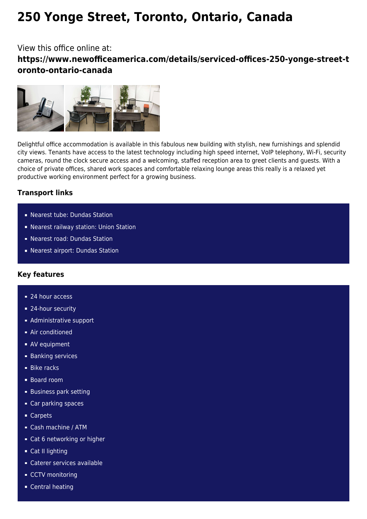# **250 Yonge Street, Toronto, Ontario, Canada**

# View this office online at: **https://www.newofficeamerica.com/details/serviced-offices-250-yonge-street-t oronto-ontario-canada**



Delightful office accommodation is available in this fabulous new building with stylish, new furnishings and splendid city views. Tenants have access to the latest technology including high speed internet, VoIP telephony, Wi-Fi, security cameras, round the clock secure access and a welcoming, staffed reception area to greet clients and guests. With a choice of private offices, shared work spaces and comfortable relaxing lounge areas this really is a relaxed yet productive working environment perfect for a growing business.

## **Transport links**

- Nearest tube: Dundas Station
- Nearest railway station: Union Station
- Nearest road: Dundas Station
- Nearest airport: Dundas Station

### **Key features**

- 24 hour access
- 24-hour security
- **Administrative support**
- Air conditioned
- **AV** equipment
- **Banking services**
- **Bike racks**
- Board room
- **Business park setting**
- Car parking spaces
- Carpets
- Cash machine / ATM
- Cat 6 networking or higher
- Cat II lighting
- Caterer services available
- CCTV monitoring
- **Central heating**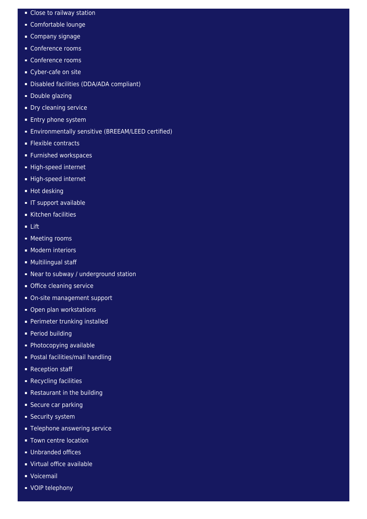- Close to railway station
- Comfortable lounge
- **Company signage**
- Conference rooms
- Conference rooms
- Cyber-cafe on site
- Disabled facilities (DDA/ADA compliant)
- **Double glazing**
- **Dry cleaning service**
- **Entry phone system**
- **Environmentally sensitive (BREEAM/LEED certified)**
- **Flexible contracts**
- **Furnished workspaces**
- High-speed internet
- High-speed internet
- **Hot desking**
- **IT support available**
- Kitchen facilities
- Lift
- **Meeting rooms**
- **Modern interiors**
- **Multilingual staff**
- Near to subway / underground station
- **Office cleaning service**
- On-site management support
- Open plan workstations
- Perimeter trunking installed
- **Period building**
- Photocopying available
- **Postal facilities/mail handling**
- Reception staff
- **Recycling facilities**
- **Restaurant in the building**
- **Secure car parking**
- **Security system**
- **Telephone answering service**
- **Town centre location**
- **Unbranded offices**
- Virtual office available
- **Voicemail**
- VOIP telephony